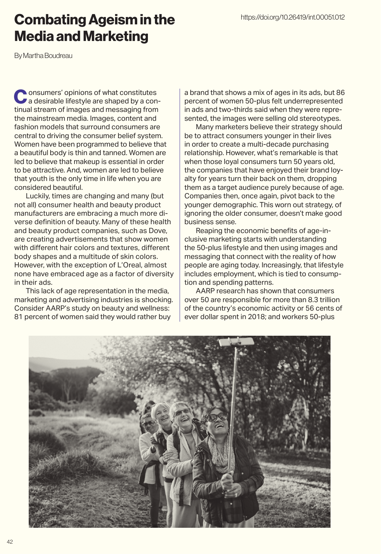## Combating Ageism in the Media and Marketing

By Martha Boudreau

Consumers' opinions of what constitutes<br>a desirable lifestyle are shaped by a continual stream of images and messaging from the mainstream media. Images, content and fashion models that surround consumers are central to driving the consumer belief system. Women have been programmed to believe that a beautiful body is thin and tanned. Women are led to believe that makeup is essential in order to be attractive. And, women are led to believe that youth is the only time in life when you are considered beautiful.

Luckily, times are changing and many (but not all) consumer health and beauty product manufacturers are embracing a much more diverse definition of beauty. Many of these health and beauty product companies, such as Dove, are creating advertisements that show women with different hair colors and textures, different body shapes and a multitude of skin colors. However, with the exception of L'Oreal, almost none have embraced age as a factor of diversity in their ads.

This lack of age representation in the media, marketing and advertising industries is shocking. Consider AARP's study on beauty and wellness: 81 percent of women said they would rather buy

a brand that shows a mix of ages in its ads, but 86 percent of women 50-plus felt underrepresented in ads and two-thirds said when they were represented, the images were selling old stereotypes.

Many marketers believe their strategy should be to attract consumers younger in their lives in order to create a multi-decade purchasing relationship. However, what's remarkable is that when those loyal consumers turn 50 years old, the companies that have enjoyed their brand loyalty for years turn their back on them, dropping them as a target audience purely because of age. Companies then, once again, pivot back to the younger demographic. This worn out strategy, of ignoring the older consumer, doesn't make good business sense.

Reaping the economic benefits of age-inclusive marketing starts with understanding the 50-plus lifestyle and then using images and messaging that connect with the reality of how people are aging today. Increasingly, that lifestyle includes employment, which is tied to consumption and spending patterns.

AARP research has shown that consumers over 50 are responsible for more than 8.3 trillion of the country's economic activity or 56 cents of ever dollar spent in 2018; and workers 50-plus